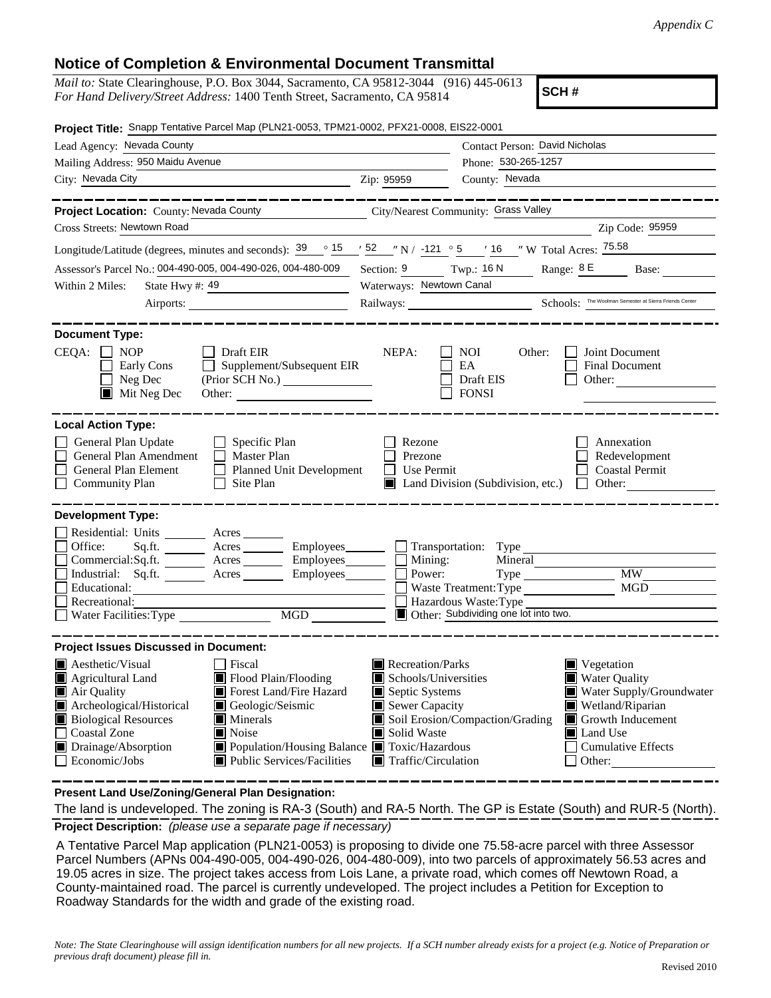## **Notice of Completion & Environmental Document Transmittal**

| <i>Mail to:</i> State Clearinghouse, P.O. Box 3044, Sacramento, CA 95812-3044 (916) 445-0613 |  |
|----------------------------------------------------------------------------------------------|--|
| For Hand Delivery/Street Address: 1400 Tenth Street, Sacramento, CA 95814                    |  |

**SCH #**

| Project Title: Snapp Tentative Parcel Map (PLN21-0053, TPM21-0002, PFX21-0008, EIS22-0001                                                                                                                                                                                                                                                                                                                                                                                    |                                                                                                                                                  |                                                                                                                                                                                                                             |
|------------------------------------------------------------------------------------------------------------------------------------------------------------------------------------------------------------------------------------------------------------------------------------------------------------------------------------------------------------------------------------------------------------------------------------------------------------------------------|--------------------------------------------------------------------------------------------------------------------------------------------------|-----------------------------------------------------------------------------------------------------------------------------------------------------------------------------------------------------------------------------|
| Lead Agency: Nevada County                                                                                                                                                                                                                                                                                                                                                                                                                                                   |                                                                                                                                                  | Contact Person: David Nicholas                                                                                                                                                                                              |
| Mailing Address: 950 Maidu Avenue                                                                                                                                                                                                                                                                                                                                                                                                                                            |                                                                                                                                                  | Phone: 530-265-1257                                                                                                                                                                                                         |
| City: Nevada City City: 2009                                                                                                                                                                                                                                                                                                                                                                                                                                                 |                                                                                                                                                  | County: Nevada                                                                                                                                                                                                              |
| _______________<br>Project Location: County: Nevada County City/Nearest Community: Grass Valley<br>Cross Streets: Newtown Road                                                                                                                                                                                                                                                                                                                                               |                                                                                                                                                  | كالمستنصب كالمستنصب كالمستنب<br>Zip Code: 95959                                                                                                                                                                             |
| Longitude/Latitude (degrees, minutes and seconds): $\frac{39}{15}$ $\frac{15}{15}$ $\frac{52}{15}$ $\frac{1}{10}$ $\frac{121}{10}$ $\frac{5}{5}$ $\frac{1}{10}$ $\frac{1}{10}$ $\frac{1}{10}$ $\frac{1}{10}$ $\frac{1}{10}$ $\frac{1}{10}$ $\frac{1}{10}$ $\frac{1}{10}$ $\frac{1}{10}$ $\$                                                                                                                                                                                  |                                                                                                                                                  |                                                                                                                                                                                                                             |
| Assessor's Parcel No.: 004-490-005, 004-490-026, 004-480-009                                                                                                                                                                                                                                                                                                                                                                                                                 |                                                                                                                                                  | Section: $\frac{9}{2}$ Twp.: 16 N Range: $\frac{8 \text{ E}}{2 \text{ B}}$ Base:                                                                                                                                            |
| State Hwy #: 49<br>Within 2 Miles:                                                                                                                                                                                                                                                                                                                                                                                                                                           | Waterways: Newtown Canal                                                                                                                         |                                                                                                                                                                                                                             |
|                                                                                                                                                                                                                                                                                                                                                                                                                                                                              |                                                                                                                                                  | Railways: <u>Chools: The Woolman Semester at Sierra Friends Center</u>                                                                                                                                                      |
|                                                                                                                                                                                                                                                                                                                                                                                                                                                                              |                                                                                                                                                  |                                                                                                                                                                                                                             |
| <b>Document Type:</b><br>$CEQA: \Box NP$<br>$\Box$ Draft EIR<br>Supplement/Subsequent EIR<br>Early Cons<br>$\blacksquare$<br>$\Box$ Neg Dec<br>$\blacksquare$ Mit Neg Dec                                                                                                                                                                                                                                                                                                    | NEPA:                                                                                                                                            | NOI<br>Joint Document<br>Other:<br>$\mathsf{L}$<br>EA<br><b>Final Document</b><br>$\Box$ Draft EIS<br>Other:<br>$\Box$ FONSI                                                                                                |
| <b>Local Action Type:</b><br>General Plan Update<br>$\Box$ Specific Plan<br>General Plan Amendment<br>$\Box$ Master Plan<br>Planned Unit Development<br>General Plan Element<br>$\Box$ Site Plan<br><b>Community Plan</b>                                                                                                                                                                                                                                                    | Rezone<br>Prezone<br>$\Box$ Use Permit                                                                                                           | Annexation<br>Redevelopment<br><b>Coastal Permit</b><br>$\Box$ Land Division (Subdivision, etc.) $\Box$ Other:                                                                                                              |
| <b>Development Type:</b><br>Residential: Units _________ Acres _______<br>Sq.ft. _________ Acres ___________ Employees ________ ___ Transportation: Type __<br>Office:<br>$Commetrical:$ Sq.ft. $\overline{\qquad}$ Acres $\overline{\qquad}$ Employees $\Box$ Mining:<br>Industrial: Sq.ft. ________ Acres ________ Employees_______<br>Educational:<br>Recreational:                                                                                                       | $\Box$ Power:                                                                                                                                    | Mineral<br><b>MW</b><br>$Type \_$<br>MGD<br>Waste Treatment: Type<br>Hazardous Waste: Type<br>Other: Subdividing one lot into two.                                                                                          |
| <b>Project Issues Discussed in Document:</b><br>$\blacksquare$ Aesthetic/Visual<br>  Fiscal<br>Flood Plain/Flooding<br>Agricultural Land<br>Forest Land/Fire Hazard<br>Air Quality<br>Archeological/Historical<br>Geologic/Seismic<br><b>Biological Resources</b><br><b>Minerals</b><br>□ Coastal Zone<br>$\blacksquare$ Noise<br>■ Population/Housing Balance ■ Toxic/Hazardous<br>Drainage/Absorption<br>$\Box$ Economic/Jobs<br>$\blacksquare$ Public Services/Facilities | Recreation/Parks<br>$\blacksquare$ Schools/Universities<br>Septic Systems<br>Sewer Capacity<br>Solid Waste<br>$\blacksquare$ Traffic/Circulation | $\blacksquare$ Vegetation<br>Water Quality<br>Water Supply/Groundwater<br>Wetland/Riparian<br>Soil Erosion/Compaction/Grading<br>Growth Inducement<br>$\blacksquare$ Land Use<br><b>Cumulative Effects</b><br>$\Box$ Other: |

**Present Land Use/Zoning/General Plan Designation:**

**Project Description:** *(please use a separate page if necessary)* The land is undeveloped. The zoning is RA-3 (South) and RA-5 North. The GP is Estate (South) and RUR-5 (North).

 A Tentative Parcel Map application (PLN21-0053) is proposing to divide one 75.58-acre parcel with three Assessor Parcel Numbers (APNs 004-490-005, 004-490-026, 004-480-009), into two parcels of approximately 56.53 acres and 19.05 acres in size. The project takes access from Lois Lane, a private road, which comes off Newtown Road, a County-maintained road. The parcel is currently undeveloped. The project includes a Petition for Exception to Roadway Standards for the width and grade of the existing road.